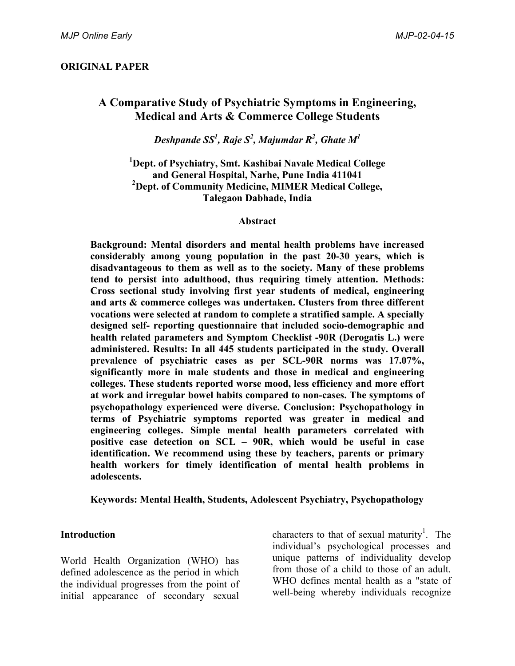## **ORIGINAL PAPER**

# **A Comparative Study of Psychiatric Symptoms in Engineering, Medical and Arts & Commerce College Students**

*Deshpande SS<sup>1</sup> , Raje S<sup>2</sup> , Majumdar R2 , Ghate M<sup>1</sup>*

**1 Dept. of Psychiatry, Smt. Kashibai Navale Medical College and General Hospital, Narhe, Pune India 411041 2 Dept. of Community Medicine, MIMER Medical College, Talegaon Dabhade, India**

#### **Abstract**

**Background: Mental disorders and mental health problems have increased considerably among young population in the past 20-30 years, which is disadvantageous to them as well as to the society. Many of these problems tend to persist into adulthood, thus requiring timely attention. Methods: Cross sectional study involving first year students of medical, engineering and arts & commerce colleges was undertaken. Clusters from three different vocations were selected at random to complete a stratified sample. A specially designed self- reporting questionnaire that included socio-demographic and health related parameters and Symptom Checklist -90R (Derogatis L.) were administered. Results: In all 445 students participated in the study. Overall prevalence of psychiatric cases as per SCL-90R norms was 17.07%, significantly more in male students and those in medical and engineering colleges. These students reported worse mood, less efficiency and more effort at work and irregular bowel habits compared to non-cases. The symptoms of psychopathology experienced were diverse. Conclusion: Psychopathology in terms of Psychiatric symptoms reported was greater in medical and engineering colleges. Simple mental health parameters correlated with positive case detection on SCL – 90R, which would be useful in case identification. We recommend using these by teachers, parents or primary health workers for timely identification of mental health problems in adolescents.**

**Keywords: Mental Health, Students, Adolescent Psychiatry, Psychopathology**

## **Introduction**

World Health Organization (WHO) has defined adolescence as the period in which the individual progresses from the point of initial appearance of secondary sexual characters to that of sexual maturity<sup>1</sup>. The individual's psychological processes and unique patterns of individuality develop from those of a child to those of an adult. WHO defines mental health as a "state of well-being whereby individuals recognize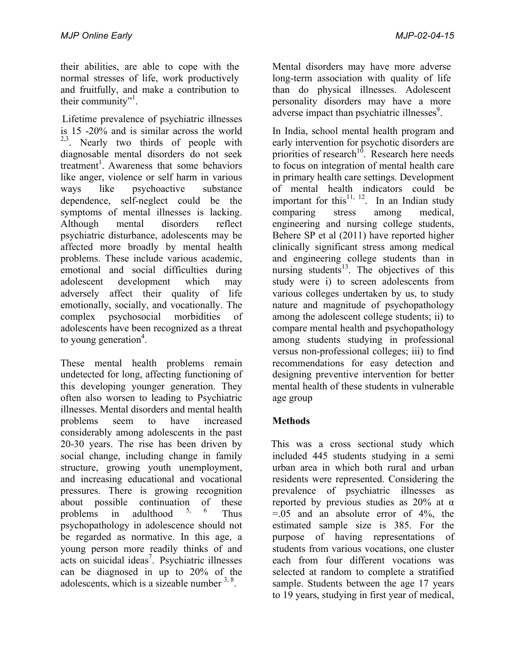their abilities, are able to cope with the normal stresses of life, work productively and fruitfully, and make a contribution to their community"<sup>1</sup>.

Lifetime prevalence of psychiatric illnesses is 15 -20% and is similar across the world  $2,3$ . Nearly two thirds of people with diagnosable mental disorders do not seek treatment<sup>1</sup>. Awareness that some behaviors like anger, violence or self harm in various ways like psychoactive substance dependence, self-neglect could be the symptoms of mental illnesses is lacking. Although mental disorders reflect psychiatric disturbance, adolescents may be affected more broadly by mental health problems. These include various academic, emotional and social difficulties during adolescent development which may adversely affect their quality of life emotionally, socially, and vocationally. The complex psychosocial morbidities of adolescents have been recognized as a threat to young generation<sup>4</sup>.

These mental health problems remain undetected for long, affecting functioning of this developing younger generation. They often also worsen to leading to Psychiatric illnesses. Mental disorders and mental health problems seem to have increased considerably among adolescents in the past 20-30 years. The rise has been driven by social change, including change in family structure, growing youth unemployment, and increasing educational and vocational pressures. There is growing recognition about possible continuation of these problems in adulthood Thus psychopathology in adolescence should not be regarded as normative. In this age, a young person more readily thinks of and acts on suicidal ideas<sup>7</sup>. Psychiatric illnesses can be diagnosed in up to 20% of the adolescents, which is a sizeable number  $3, 8$ .

Mental disorders may have more adverse long-term association with quality of life than do physical illnesses. Adolescent personality disorders may have a more adverse impact than psychiatric illnesses<sup>9</sup>.

In India, school mental health program and early intervention for psychotic disorders are priorities of research<sup>10</sup>. Research here needs to focus on integration of mental health care in primary health care settings. Development of mental health indicators could be important for this<sup>11, 12</sup>. In an Indian study comparing stress among medical, engineering and nursing college students, Behere SP et al (2011) have reported higher clinically significant stress among medical and engineering college students than in nursing students $13$ . The objectives of this study were i) to screen adolescents from various colleges undertaken by us, to study nature and magnitude of psychopathology among the adolescent college students; ii) to compare mental health and psychopathology among students studying in professional versus non-professional colleges; iii) to find recommendations for easy detection and designing preventive intervention for better mental health of these students in vulnerable age group

# **Methods**

 This was a cross sectional study which included 445 students studying in a semi urban area in which both rural and urban residents were represented. Considering the prevalence of psychiatric illnesses as reported by previous studies as  $20\%$  at  $\alpha$  $= .05$  and an absolute error of  $4\%$ , the estimated sample size is 385. For the purpose of having representations of students from various vocations, one cluster each from four different vocations was selected at random to complete a stratified sample. Students between the age 17 years to 19 years, studying in first year of medical,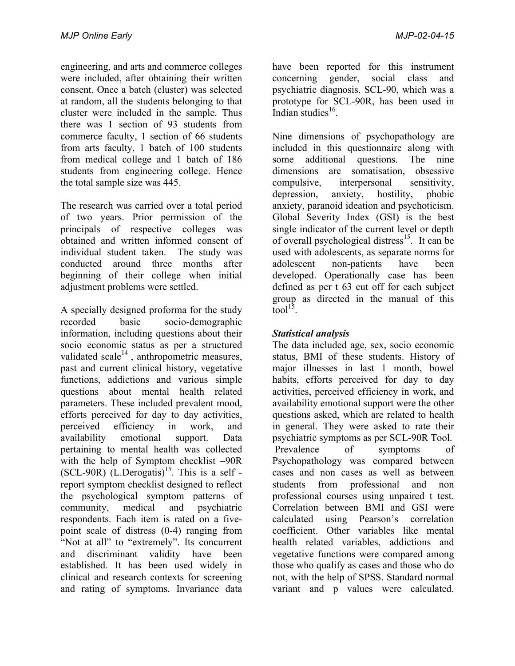engineering, and arts and commerce colleges were included, after obtaining their written consent. Once a batch (cluster) was selected at random, all the students belonging to that cluster were included in the sample. Thus there was 1 section of 93 students from commerce faculty, 1 section of 66 students from arts faculty, 1 batch of 100 students from medical college and 1 batch of 186 students from engineering college. Hence the total sample size was 445.

The research was carried over a total period of two years. Prior permission of the principals of respective colleges was obtained and written informed consent of individual student taken. The study was conducted around three months after beginning of their college when initial adjustment problems were settled.

A specially designed proforma for the study recorded basic socio-demographic information, including questions about their socio economic status as per a structured validated scale $^{14}$ , anthropometric measures, past and current clinical history, vegetative functions, addictions and various simple questions about mental health related parameters. These included prevalent mood, efforts perceived for day to day activities, perceived efficiency in work, and availability emotional support. Data pertaining to mental health was collected with the help of Symptom checklist –90R  $(SCL-90R)$   $(L.Derogatis)^{15}$ . This is a self report symptom checklist designed to reflect the psychological symptom patterns of community, medical and psychiatric respondents. Each item is rated on a fivepoint scale of distress (0-4) ranging from "Not at all" to "extremely". Its concurrent and discriminant validity have been established. It has been used widely in clinical and research contexts for screening and rating of symptoms. Invariance data have been reported for this instrument concerning gender, social class and psychiatric diagnosis. SCL-90, which was a prototype for SCL-90R, has been used in Indian studies $^{16}$ .

Nine dimensions of psychopathology are included in this questionnaire along with some additional questions. The nine dimensions are somatisation, obsessive compulsive, interpersonal sensitivity, depression, anxiety, hostility, phobic anxiety, paranoid ideation and psychoticism. Global Severity Index (GSI) is the best single indicator of the current level or depth of overall psychological distress<sup>15</sup>. It can be used with adolescents, as separate norms for adolescent non-patients have been developed. Operationally case has been defined as per t 63 cut off for each subject group as directed in the manual of this tool $^{15}$ .

# *Statistical analysis*

The data included age, sex, socio economic status, BMI of these students. History of major illnesses in last 1 month, bowel habits, efforts perceived for day to day activities, perceived efficiency in work, and availability emotional support were the other questions asked, which are related to health in general. They were asked to rate their psychiatric symptoms as per SCL-90R Tool. Prevalence of symptoms of Psychopathology was compared between cases and non cases as well as between students from professional and non professional courses using unpaired t test. Correlation between BMI and GSI were calculated using Pearson's correlation coefficient. Other variables like mental health related variables, addictions and vegetative functions were compared among those who qualify as cases and those who do not, with the help of SPSS. Standard normal variant and p values were calculated.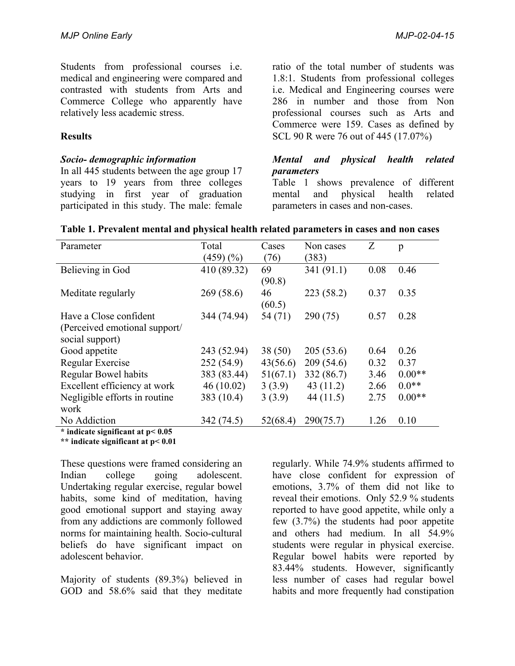Students from professional courses i.e. medical and engineering were compared and contrasted with students from Arts and Commerce College who apparently have relatively less academic stress.

## **Results**

#### *Socio- demographic information*

In all 445 students between the age group 17 years to 19 years from three colleges studying in first year of graduation participated in this study. The male: female

ratio of the total number of students was 1.8:1. Students from professional colleges i.e. Medical and Engineering courses were 286 in number and those from Non professional courses such as Arts and Commerce were 159. Cases as defined by SCL 90 R were 76 out of 445 (17.07%)

## *Mental and physical health related parameters*

Table 1 shows prevalence of different mental and physical health related parameters in cases and non-cases.

| Parameter                              | Total<br>(459)(% | Cases<br>(76) | Non cases<br>(383) | Z    | p        |
|----------------------------------------|------------------|---------------|--------------------|------|----------|
| Believing in God                       | 410 (89.32)      | 69<br>(90.8)  | 341(91.1)          | 0.08 | 0.46     |
| Meditate regularly                     | 269(58.6)        | 46<br>(60.5)  | 223(58.2)          | 0.37 | 0.35     |
| Have a Close confident                 | 344 (74.94)      | 54 (71)       | 290(75)            | 0.57 | 0.28     |
| (Perceived emotional support/          |                  |               |                    |      |          |
| social support)                        |                  |               |                    |      |          |
| Good appetite                          | 243 (52.94)      | 38(50)        | 205(53.6)          | 0.64 | 0.26     |
| Regular Exercise                       | 252 (54.9)       | 43(56.6)      | 209(54.6)          | 0.32 | 0.37     |
| <b>Regular Bowel habits</b>            | 383 (83.44)      | 51(67.1)      | 332 (86.7)         | 3.46 | $0.00**$ |
| Excellent efficiency at work           | 46(10.02)        | 3(3.9)        | 43 $(11.2)$        | 2.66 | $0.0**$  |
| Negligible efforts in routine.         | 383 (10.4)       | 3(3.9)        | 44 $(11.5)$        | 2.75 | $0.00**$ |
| work                                   |                  |               |                    |      |          |
| No Addiction                           | 342 (74.5)       | 52(68.4)      | 290(75.7)          | 1.26 | 0.10     |
| $*$ indicate significant at $p < 0.05$ |                  |               |                    |      |          |

| Table 1. Prevalent mental and physical health related parameters in cases and non cases |  |  |  |  |
|-----------------------------------------------------------------------------------------|--|--|--|--|
|                                                                                         |  |  |  |  |

**\*\* indicate significant at p< 0.01**

These questions were framed considering an Indian college going adolescent. Undertaking regular exercise, regular bowel habits, some kind of meditation, having good emotional support and staying away from any addictions are commonly followed norms for maintaining health. Socio-cultural beliefs do have significant impact on adolescent behavior.

Majority of students (89.3%) believed in GOD and 58.6% said that they meditate

regularly. While 74.9% students affirmed to have close confident for expression of emotions, 3.7% of them did not like to reveal their emotions. Only 52.9 % students reported to have good appetite, while only a few (3.7%) the students had poor appetite and others had medium. In all 54.9% students were regular in physical exercise. Regular bowel habits were reported by 83.44% students. However, significantly less number of cases had regular bowel habits and more frequently had constipation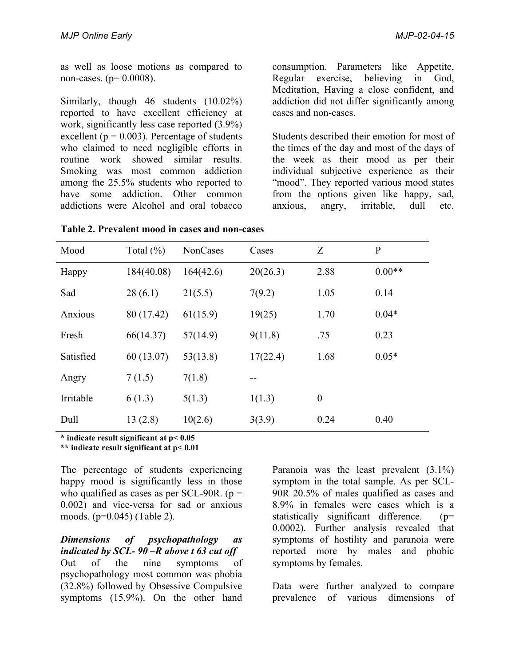as well as loose motions as compared to non-cases. ( $p= 0.0008$ ).

Similarly, though 46 students (10.02%) reported to have excellent efficiency at work, significantly less case reported (3.9%) excellent ( $p = 0.003$ ). Percentage of students who claimed to need negligible efforts in routine work showed similar results. Smoking was most common addiction among the 25.5% students who reported to have some addiction. Other common addictions were Alcohol and oral tobacco

consumption. Parameters like Appetite, Regular exercise, believing in God, Meditation, Having a close confident, and addiction did not differ significantly among cases and non-cases.

Students described their emotion for most of the times of the day and most of the days of the week as their mood as per their individual subjective experience as their "mood". They reported various mood states from the options given like happy, sad, anxious, angry, irritable, dull etc.

| Mood      | Total $(\%)$ | <b>NonCases</b> | Cases    | Z                | $\mathbf{P}$ |
|-----------|--------------|-----------------|----------|------------------|--------------|
| Happy     | 184(40.08)   | 164(42.6)       | 20(26.3) | 2.88             | $0.00**$     |
| Sad       | 28(6.1)      | 21(5.5)         | 7(9.2)   | 1.05             | 0.14         |
| Anxious   | 80 (17.42)   | 61(15.9)        | 19(25)   | 1.70             | $0.04*$      |
| Fresh     | 66(14.37)    | 57(14.9)        | 9(11.8)  | .75              | 0.23         |
| Satisfied | 60(13.07)    | 53(13.8)        | 17(22.4) | 1.68             | $0.05*$      |
| Angry     | 7(1.5)       | 7(1.8)          |          |                  |              |
| Irritable | 6(1.3)       | 5(1.3)          | 1(1.3)   | $\boldsymbol{0}$ |              |
| Dull      | 13(2.8)      | 10(2.6)         | 3(3.9)   | 0.24             | 0.40         |

**Table 2. Prevalent mood in cases and non-cases**

**\* indicate result significant at p< 0.05** 

**\*\* indicate result significant at p< 0.01**

The percentage of students experiencing happy mood is significantly less in those who qualified as cases as per SCL-90R.  $(p =$ 0.002) and vice-versa for sad or anxious moods. (p=0.045) (Table 2).

*Dimensions of psychopathology as indicated by SCL- 90 –R above t 63 cut off* Out of the nine symptoms of psychopathology most common was phobia (32.8%) followed by Obsessive Compulsive symptoms (15.9%). On the other hand Paranoia was the least prevalent (3.1%) symptom in the total sample. As per SCL-90R 20.5% of males qualified as cases and 8.9% in females were cases which is a statistically significant difference. (p= 0.0002). Further analysis revealed that symptoms of hostility and paranoia were reported more by males and phobic symptoms by females.

Data were further analyzed to compare prevalence of various dimensions of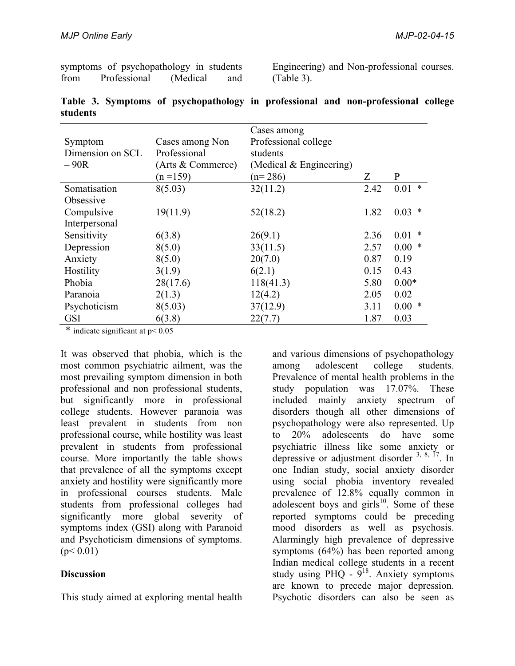|      |              | symptoms of psychopathology in students |     |
|------|--------------|-----------------------------------------|-----|
| from | Professional | (Medical)                               | and |

Engineering) and Non-professional courses. (Table 3).

|                  |                   | Cases among               |      |              |
|------------------|-------------------|---------------------------|------|--------------|
| Symptom          | Cases among Non   | Professional college      |      |              |
| Dimension on SCL | Professional      | students                  |      |              |
| $-90R$           | (Arts & Commerce) | (Medical $&$ Engineering) |      |              |
|                  | $(n=159)$         | $(n=286)$                 | Ζ    | $\mathbf{P}$ |
| Somatisation     | 8(5.03)           | 32(11.2)                  | 2.42 | $0.01 *$     |
| Obsessive        |                   |                           |      |              |
| Compulsive       | 19(11.9)          | 52(18.2)                  | 1.82 | $0.03$ *     |
| Interpersonal    |                   |                           |      |              |
| Sensitivity      | 6(3.8)            | 26(9.1)                   | 2.36 | 0.01         |
| Depression       | 8(5.0)            | 33(11.5)                  | 2.57 | $0.00*$      |
| Anxiety          | 8(5.0)            | 20(7.0)                   | 0.87 | 0.19         |
| Hostility        | 3(1.9)            | 6(2.1)                    | 0.15 | 0.43         |
| Phobia           | 28(17.6)          | 118(41.3)                 | 5.80 | $0.00*$      |
| Paranoia         | 2(1.3)            | 12(4.2)                   | 2.05 | 0.02         |
| Psychoticism     | 8(5.03)           | 37(12.9)                  | 3.11 | $0.00*$      |
| <b>GSI</b>       | 6(3.8)            | 22(7.7)                   | 1.87 | 0.03         |

**Table 3. Symptoms of psychopathology in professional and non-professional college students**

\* indicate significant at  $p < 0.05$ 

It was observed that phobia, which is the most common psychiatric ailment, was the most prevailing symptom dimension in both professional and non professional students, but significantly more in professional college students. However paranoia was least prevalent in students from non professional course, while hostility was least prevalent in students from professional course. More importantly the table shows that prevalence of all the symptoms except anxiety and hostility were significantly more in professional courses students. Male students from professional colleges had significantly more global severity of symptoms index (GSI) along with Paranoid and Psychoticism dimensions of symptoms.  $(p< 0.01)$ 

## **Discussion**

This study aimed at exploring mental health

and various dimensions of psychopathology among adolescent college students. Prevalence of mental health problems in the study population was 17.07%. These included mainly anxiety spectrum of disorders though all other dimensions of psychopathology were also represented. Up to 20% adolescents do have some psychiatric illness like some anxiety or depressive or adjustment disorder  $3, 8, 17$ . In one Indian study, social anxiety disorder using social phobia inventory revealed prevalence of 12.8% equally common in adolescent boys and girls $^{10}$ . Some of these reported symptoms could be preceding mood disorders as well as psychosis. Alarmingly high prevalence of depressive symptoms (64%) has been reported among Indian medical college students in a recent study using PHO -  $\frac{5^{18}}{9}$ . Anxiety symptoms are known to precede major depression. Psychotic disorders can also be seen as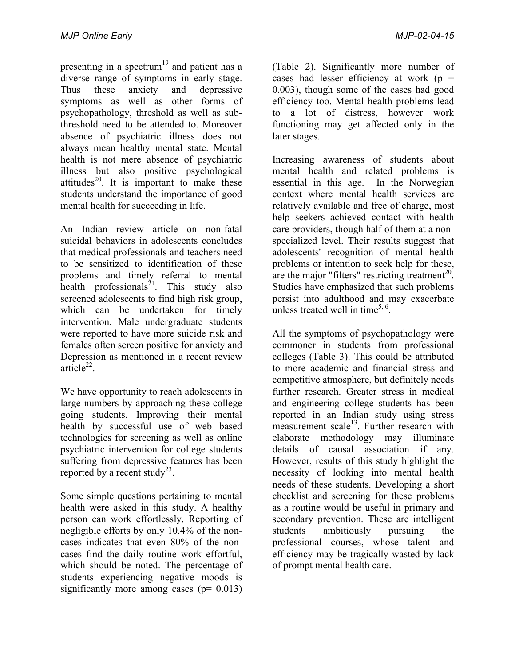presenting in a spectrum<sup>19</sup> and patient has a diverse range of symptoms in early stage. Thus these anxiety and depressive symptoms as well as other forms of psychopathology, threshold as well as subthreshold need to be attended to. Moreover absence of psychiatric illness does not always mean healthy mental state. Mental health is not mere absence of psychiatric illness but also positive psychological attitudes $^{20}$ . It is important to make these students understand the importance of good mental health for succeeding in life.

An Indian review article on non-fatal suicidal behaviors in adolescents concludes that medical professionals and teachers need to be sensitized to identification of these problems and timely referral to mental health professionals<sup>21</sup>. This study also screened adolescents to find high risk group, which can be undertaken for timely intervention. Male undergraduate students were reported to have more suicide risk and females often screen positive for anxiety and Depression as mentioned in a recent review  $article<sup>22</sup>$ .

We have opportunity to reach adolescents in large numbers by approaching these college going students. Improving their mental health by successful use of web based technologies for screening as well as online psychiatric intervention for college students suffering from depressive features has been reported by a recent study<sup>23</sup>.

Some simple questions pertaining to mental health were asked in this study. A healthy person can work effortlessly. Reporting of negligible efforts by only 10.4% of the noncases indicates that even 80% of the noncases find the daily routine work effortful, which should be noted. The percentage of students experiencing negative moods is significantly more among cases ( $p= 0.013$ )

(Table 2). Significantly more number of cases had lesser efficiency at work ( $p =$ 0.003), though some of the cases had good efficiency too. Mental health problems lead to a lot of distress, however work functioning may get affected only in the later stages.

Increasing awareness of students about mental health and related problems is essential in this age. In the Norwegian context where mental health services are relatively available and free of charge, most help seekers achieved contact with health care providers, though half of them at a nonspecialized level. Their results suggest that adolescents' recognition of mental health problems or intention to seek help for these, are the major "filters" restricting treatment $^{20}$ . Studies have emphasized that such problems persist into adulthood and may exacerbate unless treated well in time<sup>5, 6</sup>.

All the symptoms of psychopathology were commoner in students from professional colleges (Table 3). This could be attributed to more academic and financial stress and competitive atmosphere, but definitely needs further research. Greater stress in medical and engineering college students has been reported in an Indian study using stress measurement scale<sup>13</sup>. Further research with elaborate methodology may illuminate details of causal association if any. However, results of this study highlight the necessity of looking into mental health needs of these students. Developing a short checklist and screening for these problems as a routine would be useful in primary and secondary prevention. These are intelligent students ambitiously pursuing the professional courses, whose talent and efficiency may be tragically wasted by lack of prompt mental health care.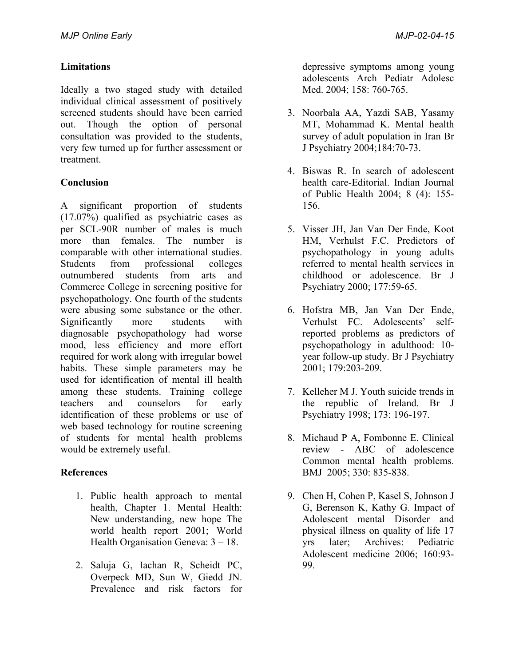## **Limitations**

Ideally a two staged study with detailed individual clinical assessment of positively screened students should have been carried out. Though the option of personal consultation was provided to the students, very few turned up for further assessment or treatment.

# **Conclusion**

A significant proportion of students (17.07%) qualified as psychiatric cases as per SCL-90R number of males is much more than females. The number is comparable with other international studies. Students from professional colleges outnumbered students from arts and Commerce College in screening positive for psychopathology. One fourth of the students were abusing some substance or the other. Significantly more students with diagnosable psychopathology had worse mood, less efficiency and more effort required for work along with irregular bowel habits. These simple parameters may be used for identification of mental ill health among these students. Training college teachers and counselors for early identification of these problems or use of web based technology for routine screening of students for mental health problems would be extremely useful.

## **References**

- 1. Public health approach to mental health, Chapter 1. Mental Health: New understanding, new hope The world health report 2001; World Health Organisation Geneva: 3 – 18.
- 2. Saluja G, Iachan R, Scheidt PC, Overpeck MD, Sun W, Giedd JN. Prevalence and risk factors for

depressive symptoms among young adolescents Arch Pediatr Adolesc Med. 2004; 158: 760-765.

- 3. Noorbala AA, Yazdi SAB, Yasamy MT, Mohammad K. Mental health survey of adult population in Iran Br J Psychiatry 2004;184:70-73.
- 4. Biswas R. In search of adolescent health care-Editorial. Indian Journal of Public Health 2004; 8 (4): 155- 156.
- 5. Visser JH, Jan Van Der Ende, Koot HM, Verhulst F.C. Predictors of psychopathology in young adults referred to mental health services in childhood or adolescence. Br J Psychiatry 2000; 177:59-65.
- 6. Hofstra MB, Jan Van Der Ende, Verhulst FC. Adolescents' selfreported problems as predictors of psychopathology in adulthood: 10 year follow-up study. Br J Psychiatry 2001; 179:203-209.
- 7. Kelleher M J. Youth suicide trends in the republic of Ireland. Br J Psychiatry 1998; 173: 196-197.
- 8. Michaud P A, Fombonne E. Clinical review - ABC of adolescence Common mental health problems. BMJ 2005; 330: 835-838.
- 9. Chen H, Cohen P, Kasel S, Johnson J G, Berenson K, Kathy G. Impact of Adolescent mental Disorder and physical illness on quality of life 17 yrs later; Archives: Pediatric Adolescent medicine 2006; 160:93- 99.